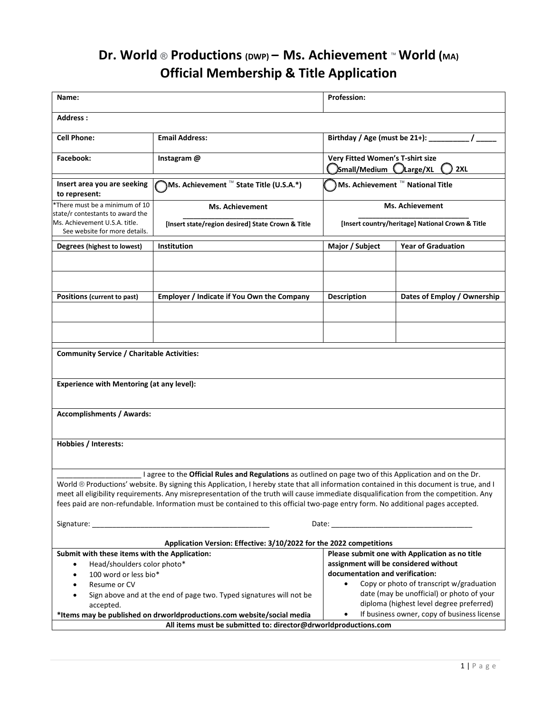## **Dr. World** ® **Productions (DWP) – Ms. Achievement** ™**World (MA) Official Membership & Title Application**

| Name:                                                                                                                                |                                                                                                                                                                                                                                                                                                                                                                                                                                                                                                                                  | <b>Profession:</b>                                                                    |                                                |
|--------------------------------------------------------------------------------------------------------------------------------------|----------------------------------------------------------------------------------------------------------------------------------------------------------------------------------------------------------------------------------------------------------------------------------------------------------------------------------------------------------------------------------------------------------------------------------------------------------------------------------------------------------------------------------|---------------------------------------------------------------------------------------|------------------------------------------------|
| Address:                                                                                                                             |                                                                                                                                                                                                                                                                                                                                                                                                                                                                                                                                  |                                                                                       |                                                |
| <b>Cell Phone:</b>                                                                                                                   | <b>Email Address:</b>                                                                                                                                                                                                                                                                                                                                                                                                                                                                                                            | Birthday / Age (must be 21+):                                                         |                                                |
| Facebook:                                                                                                                            | Instagram @                                                                                                                                                                                                                                                                                                                                                                                                                                                                                                                      | Very Fitted Women's T-shirt size<br>Small/Medium <i>Large/XL</i>                      | 2XL                                            |
| Insert area you are seeking<br>to represent:                                                                                         | <b>Ns. Achievement</b> ™ State Title (U.S.A.*)                                                                                                                                                                                                                                                                                                                                                                                                                                                                                   | ) Ms. Achievement ™ National Title                                                    |                                                |
| *There must be a minimum of 10<br>state/r contestants to award the<br>Ms. Achievement U.S.A. title.<br>See website for more details. | Ms. Achievement<br>[Insert state/region desired] State Crown & Title                                                                                                                                                                                                                                                                                                                                                                                                                                                             | <b>Ms. Achievement</b><br>[Insert country/heritage] National Crown & Title            |                                                |
| Degrees (highest to lowest)                                                                                                          | Institution                                                                                                                                                                                                                                                                                                                                                                                                                                                                                                                      | Major / Subject                                                                       | <b>Year of Graduation</b>                      |
|                                                                                                                                      |                                                                                                                                                                                                                                                                                                                                                                                                                                                                                                                                  |                                                                                       |                                                |
| Positions (current to past)                                                                                                          | Employer / Indicate if You Own the Company                                                                                                                                                                                                                                                                                                                                                                                                                                                                                       | <b>Description</b>                                                                    | Dates of Employ / Ownership                    |
|                                                                                                                                      |                                                                                                                                                                                                                                                                                                                                                                                                                                                                                                                                  |                                                                                       |                                                |
| <b>Community Service / Charitable Activities:</b>                                                                                    |                                                                                                                                                                                                                                                                                                                                                                                                                                                                                                                                  |                                                                                       |                                                |
| <b>Experience with Mentoring (at any level):</b>                                                                                     |                                                                                                                                                                                                                                                                                                                                                                                                                                                                                                                                  |                                                                                       |                                                |
| <b>Accomplishments / Awards:</b>                                                                                                     |                                                                                                                                                                                                                                                                                                                                                                                                                                                                                                                                  |                                                                                       |                                                |
| <b>Hobbies / Interests:</b>                                                                                                          |                                                                                                                                                                                                                                                                                                                                                                                                                                                                                                                                  |                                                                                       |                                                |
|                                                                                                                                      | I agree to the Official Rules and Regulations as outlined on page two of this Application and on the Dr.<br>World ® Productions' website. By signing this Application, I hereby state that all information contained in this document is true, and I<br>meet all eligibility requirements. Any misrepresentation of the truth will cause immediate disqualification from the competition. Any<br>fees paid are non-refundable. Information must be contained to this official two-page entry form. No additional pages accepted. |                                                                                       |                                                |
|                                                                                                                                      | Application Version: Effective: 3/10/2022 for the 2022 competitions                                                                                                                                                                                                                                                                                                                                                                                                                                                              |                                                                                       |                                                |
| Submit with these items with the Application:                                                                                        |                                                                                                                                                                                                                                                                                                                                                                                                                                                                                                                                  |                                                                                       | Please submit one with Application as no title |
| Head/shoulders color photo*<br>$\bullet$<br>100 word or less bio*<br>$\bullet$                                                       |                                                                                                                                                                                                                                                                                                                                                                                                                                                                                                                                  | assignment will be considered without<br>documentation and verification:              |                                                |
| Resume or CV<br>$\bullet$                                                                                                            |                                                                                                                                                                                                                                                                                                                                                                                                                                                                                                                                  | Copy or photo of transcript w/graduation<br>$\bullet$                                 |                                                |
| Sign above and at the end of page two. Typed signatures will not be<br>$\bullet$<br>accepted.                                        |                                                                                                                                                                                                                                                                                                                                                                                                                                                                                                                                  | date (may be unofficial) or photo of your<br>diploma (highest level degree preferred) |                                                |
|                                                                                                                                      | *Items may be published on drworldproductions.com website/social media                                                                                                                                                                                                                                                                                                                                                                                                                                                           | $\bullet$                                                                             | If business owner, copy of business license    |
|                                                                                                                                      | All items must be submitted to: director@drworldproductions.com                                                                                                                                                                                                                                                                                                                                                                                                                                                                  |                                                                                       |                                                |